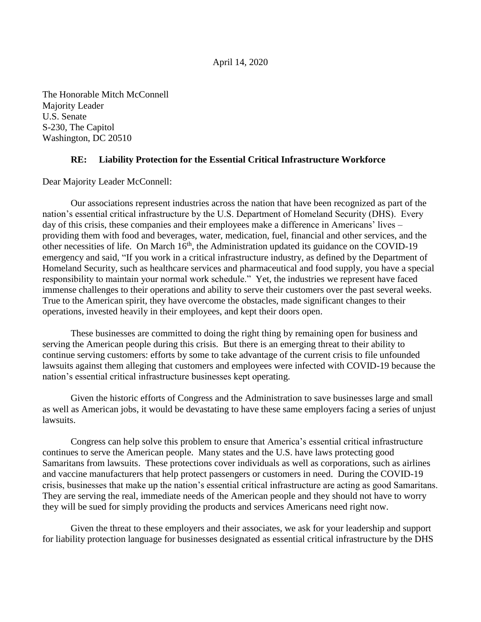## April 14, 2020

The Honorable Mitch McConnell Majority Leader U.S. Senate S-230, The Capitol Washington, DC 20510

## **RE: Liability Protection for the Essential Critical Infrastructure Workforce**

Dear Majority Leader McConnell:

Our associations represent industries across the nation that have been recognized as part of the nation's essential critical infrastructure by the U.S. Department of Homeland Security (DHS). Every day of this crisis, these companies and their employees make a difference in Americans' lives – providing them with food and beverages, water, medication, fuel, financial and other services, and the other necessities of life. On March  $16<sup>th</sup>$ , the Administration updated its guidance on the COVID-19 emergency and said, "If you work in a critical infrastructure industry, as defined by the Department of Homeland Security, such as healthcare services and pharmaceutical and food supply, you have a special responsibility to maintain your normal work schedule." Yet, the industries we represent have faced immense challenges to their operations and ability to serve their customers over the past several weeks. True to the American spirit, they have overcome the obstacles, made significant changes to their operations, invested heavily in their employees, and kept their doors open.

These businesses are committed to doing the right thing by remaining open for business and serving the American people during this crisis. But there is an emerging threat to their ability to continue serving customers: efforts by some to take advantage of the current crisis to file unfounded lawsuits against them alleging that customers and employees were infected with COVID-19 because the nation's essential critical infrastructure businesses kept operating.

Given the historic efforts of Congress and the Administration to save businesses large and small as well as American jobs, it would be devastating to have these same employers facing a series of unjust lawsuits.

Congress can help solve this problem to ensure that America's essential critical infrastructure continues to serve the American people. Many states and the U.S. have laws protecting good Samaritans from lawsuits. These protections cover individuals as well as corporations, such as airlines and vaccine manufacturers that help protect passengers or customers in need. During the COVID-19 crisis, businesses that make up the nation's essential critical infrastructure are acting as good Samaritans. They are serving the real, immediate needs of the American people and they should not have to worry they will be sued for simply providing the products and services Americans need right now.

Given the threat to these employers and their associates, we ask for your leadership and support for liability protection language for businesses designated as essential critical infrastructure by the DHS